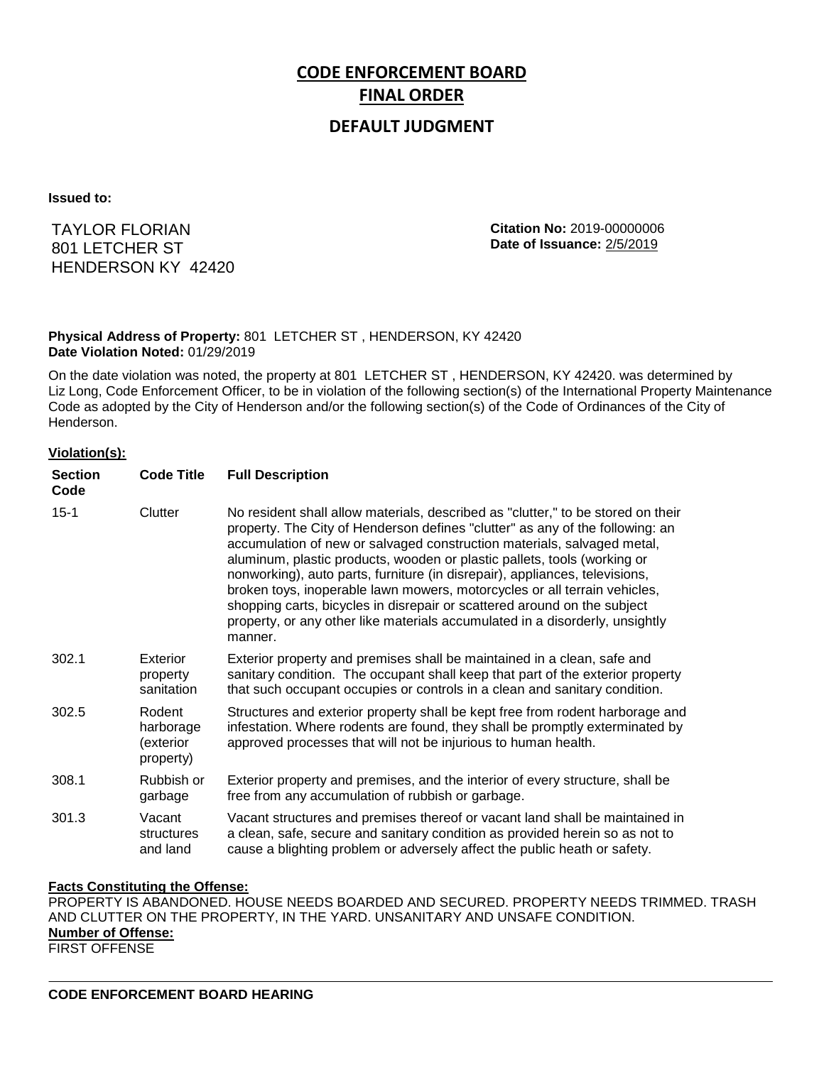# **CODE ENFORCEMENT BOARD FINAL ORDER**

# **DEFAULT JUDGMENT**

**Issued to:**

TAYLOR FLORIAN 801 LETCHER ST HENDERSON KY 42420 **Citation No:** 2019-00000006 **Date of Issuance:** 2/5/2019

## **Physical Address of Property:** 801 LETCHER ST , HENDERSON, KY 42420 **Date Violation Noted:** 01/29/2019

On the date violation was noted, the property at 801 LETCHER ST , HENDERSON, KY 42420. was determined by Liz Long, Code Enforcement Officer, to be in violation of the following section(s) of the International Property Maintenance Code as adopted by the City of Henderson and/or the following section(s) of the Code of Ordinances of the City of Henderson.

### **Violation(s):**

| <b>Section</b><br>Code | <b>Code Title</b>                             | <b>Full Description</b>                                                                                                                                                                                                                                                                                                                                                                                                                                                                                                                                                                                                                                     |
|------------------------|-----------------------------------------------|-------------------------------------------------------------------------------------------------------------------------------------------------------------------------------------------------------------------------------------------------------------------------------------------------------------------------------------------------------------------------------------------------------------------------------------------------------------------------------------------------------------------------------------------------------------------------------------------------------------------------------------------------------------|
| $15 - 1$               | Clutter                                       | No resident shall allow materials, described as "clutter," to be stored on their<br>property. The City of Henderson defines "clutter" as any of the following: an<br>accumulation of new or salvaged construction materials, salvaged metal,<br>aluminum, plastic products, wooden or plastic pallets, tools (working or<br>nonworking), auto parts, furniture (in disrepair), appliances, televisions,<br>broken toys, inoperable lawn mowers, motorcycles or all terrain vehicles,<br>shopping carts, bicycles in disrepair or scattered around on the subject<br>property, or any other like materials accumulated in a disorderly, unsightly<br>manner. |
| 302.1                  | Exterior<br>property<br>sanitation            | Exterior property and premises shall be maintained in a clean, safe and<br>sanitary condition. The occupant shall keep that part of the exterior property<br>that such occupant occupies or controls in a clean and sanitary condition.                                                                                                                                                                                                                                                                                                                                                                                                                     |
| 302.5                  | Rodent<br>harborage<br>(exterior<br>property) | Structures and exterior property shall be kept free from rodent harborage and<br>infestation. Where rodents are found, they shall be promptly exterminated by<br>approved processes that will not be injurious to human health.                                                                                                                                                                                                                                                                                                                                                                                                                             |
| 308.1                  | Rubbish or<br>garbage                         | Exterior property and premises, and the interior of every structure, shall be<br>free from any accumulation of rubbish or garbage.                                                                                                                                                                                                                                                                                                                                                                                                                                                                                                                          |
| 301.3                  | Vacant<br>structures<br>and land              | Vacant structures and premises thereof or vacant land shall be maintained in<br>a clean, safe, secure and sanitary condition as provided herein so as not to<br>cause a blighting problem or adversely affect the public heath or safety.                                                                                                                                                                                                                                                                                                                                                                                                                   |

## **Facts Constituting the Offense:**

PROPERTY IS ABANDONED. HOUSE NEEDS BOARDED AND SECURED. PROPERTY NEEDS TRIMMED. TRASH AND CLUTTER ON THE PROPERTY, IN THE YARD. UNSANITARY AND UNSAFE CONDITION. **Number of Offense:** FIRST OFFENSE